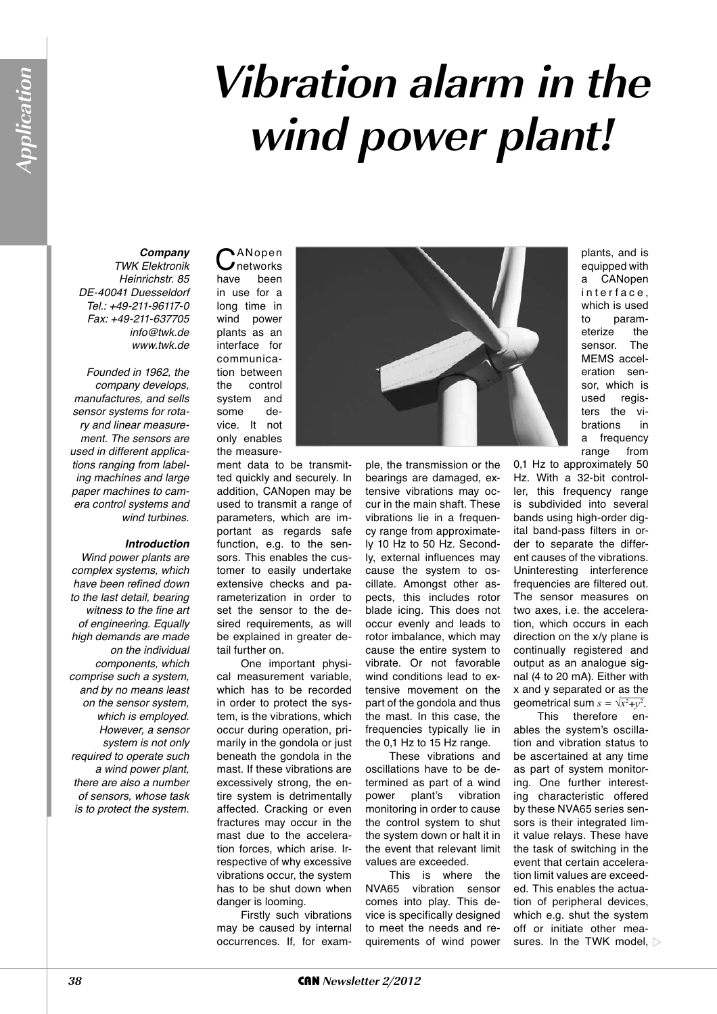### *Company* TWK Elektronik

Heinrichstr. 85 DE-40041 Duesseldorf Tel.: +49-211-96117-0 Fax: +49-211-637705 info@twk.de www.twk.de

**Application**

Founded in 1962, the company develops, manufactures, and sells sensor systems for rotary and linear measurement. The sensors are used in different applications ranging from labeling machines and large paper machines to camera control systems and wind turbines.

#### *Introduction*

Wind power plants are complex systems, which have been refined down to the last detail, bearing witness to the fine art of engineering. Equally high demands are made on the individual components, which comprise such a system, and by no means least on the sensor system, which is employed. However, a sensor system is not only required to operate such a wind power plant, there are also a number of sensors, whose task is to protect the system.

## CANopen<br>
Cnetworks have been in use for a long time in wind power plants as an

interface for communication between the control system and some device. It not only enables the measure-

ment data to be transmitted quickly and securely. In addition, CANopen may be used to transmit a range of parameters, which are important as regards safe function, e.g. to the sensors. This enables the customer to easily undertake extensive checks and parameterization in order to set the sensor to the desired requirements, as will be explained in greater detail further on.

One important physical measurement variable, which has to be recorded in order to protect the system, is the vibrations, which occur during operation, primarily in the gondola or just beneath the gondola in the mast. If these vibrations are excessively strong, the entire system is detrimentally affected. Cracking or even fractures may occur in the mast due to the acceleration forces, which arise. Irrespective of why excessive vibrations occur, the system has to be shut down when danger is looming.

Firstly such vibrations may be caused by internal occurrences. If, for exam-



ple, the transmission or the bearings are damaged, extensive vibrations may occur in the main shaft. These vibrations lie in a frequency range from approximately 10 Hz to 50 Hz. Secondly, external influences may cause the system to oscillate. Amongst other aspects, this includes rotor blade icing. This does not occur evenly and leads to rotor imbalance, which may cause the entire system to vibrate. Or not favorable wind conditions lead to extensive movement on the part of the gondola and thus the mast. In this case, the frequencies typically lie in the 0,1 Hz to 15 Hz range.

These vibrations and oscillations have to be determined as part of a wind power plant's vibration monitoring in order to cause the control system to shut the system down or halt it in the event that relevant limit values are exceeded.

This is where the NVA65 vibration sensor comes into play. This device is specifically designed to meet the needs and requirements of wind power plants, and is equipped with a CANopen interface, which is used to parameterize the sensor. The MEMS acceleration sensor, which is used registers the vibrations in a frequency range from

0,1 Hz to approximately 50 Hz. With a 32-bit controller, this frequency range is subdivided into several bands using high-order digital band-pass filters in order to separate the different causes of the vibrations. Uninteresting interference frequencies are filtered out. The sensor measures on two axes, i.e. the acceleration, which occurs in each direction on the x/y plane is continually registered and output as an analogue signal (4 to 20 mA). Either with x and y separated or as the geometrical sum  $s = \sqrt{x^2+y^2}$ .

This therefore enables the system's oscillation and vibration status to be ascertained at any time as part of system monitoring. One further interesting characteristic offered by these NVA65 series sensors is their integrated limit value relays. These have the task of switching in the event that certain acceleration limit values are exceeded. This enables the actuation of peripheral devices, which e.g. shut the system off or initiate other measures. In the TWK model,  $\triangleright$